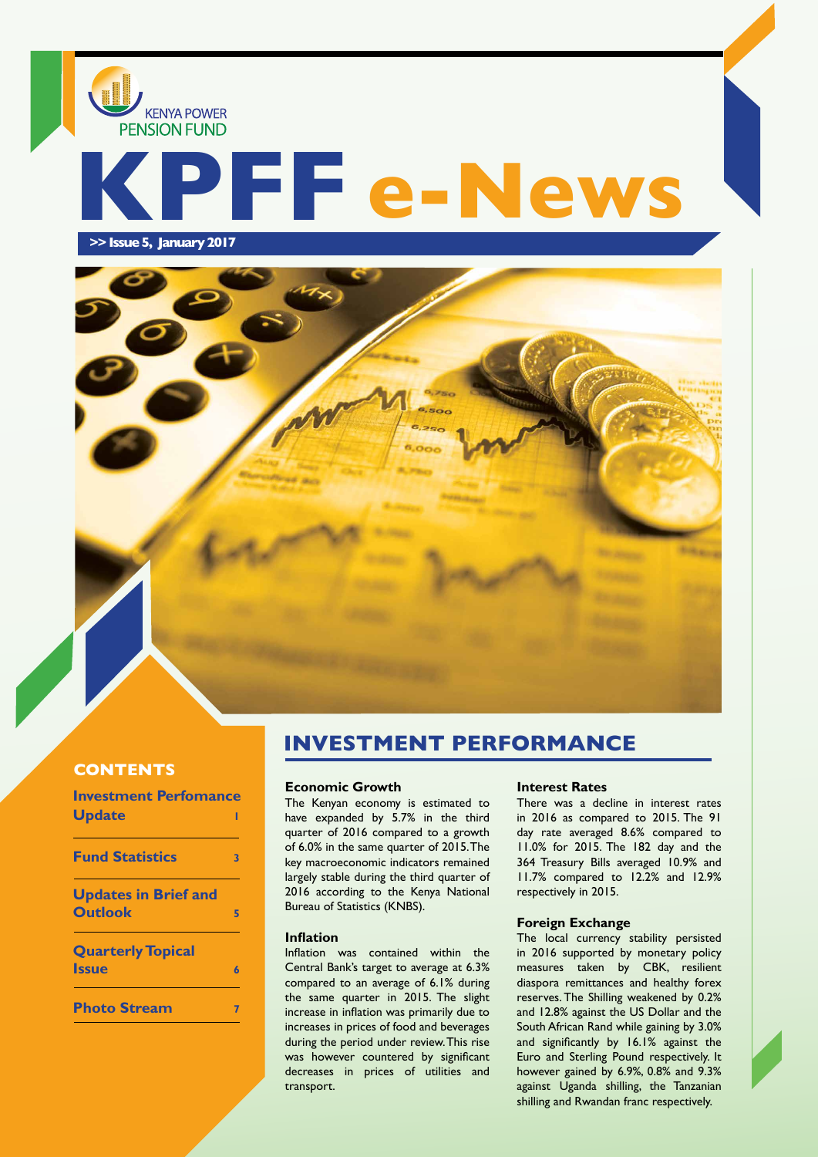# **KPFF e-News**

 **>> Issue 5, January 2017**

**KENYA POWER PENSION FUND** 



## **CONTENTS**

| <b>Investment Perfomance</b>                  |   |
|-----------------------------------------------|---|
| <b>Update</b>                                 |   |
| <b>Fund Statistics</b>                        | 3 |
| <b>Updates in Brief and</b><br><b>Outlook</b> | 5 |
| <b>Quarterly Topical</b><br><b>Issue</b>      | 6 |
| <b>Photo Stream</b>                           |   |

# **INVESTMENT PERFORMANCE**

#### **Economic Growth**

The Kenyan economy is estimated to have expanded by 5.7% in the third quarter of 2016 compared to a growth of 6.0% in the same quarter of 2015. The key macroeconomic indicators remained largely stable during the third quarter of 2016 according to the Kenya National Bureau of Statistics (KNBS).

#### **Inflation**

Inflation was contained within the Central Bank's target to average at 6.3% compared to an average of 6.1% during the same quarter in 2015. The slight increase in inflation was primarily due to increases in prices of food and beverages during the period under review. This rise was however countered by significant decreases in prices of utilities and transport.

#### **Interest Rates**

There was a decline in interest rates in 2016 as compared to 2015. The 91 day rate averaged 8.6% compared to 11.0% for 2015. The 182 day and the 364 Treasury Bills averaged 10.9% and 11.7% compared to 12.2% and 12.9% respectively in 2015.

#### **Foreign Exchange**

The local currency stability persisted in 2016 supported by monetary policy measures taken by CBK, resilient diaspora remittances and healthy forex reserves. The Shilling weakened by 0.2% and 12.8% against the US Dollar and the South African Rand while gaining by 3.0% and significantly by 16.1% against the Euro and Sterling Pound respectively. It however gained by 6.9%, 0.8% and 9.3% against Uganda shilling, the Tanzanian shilling and Rwandan franc respectively.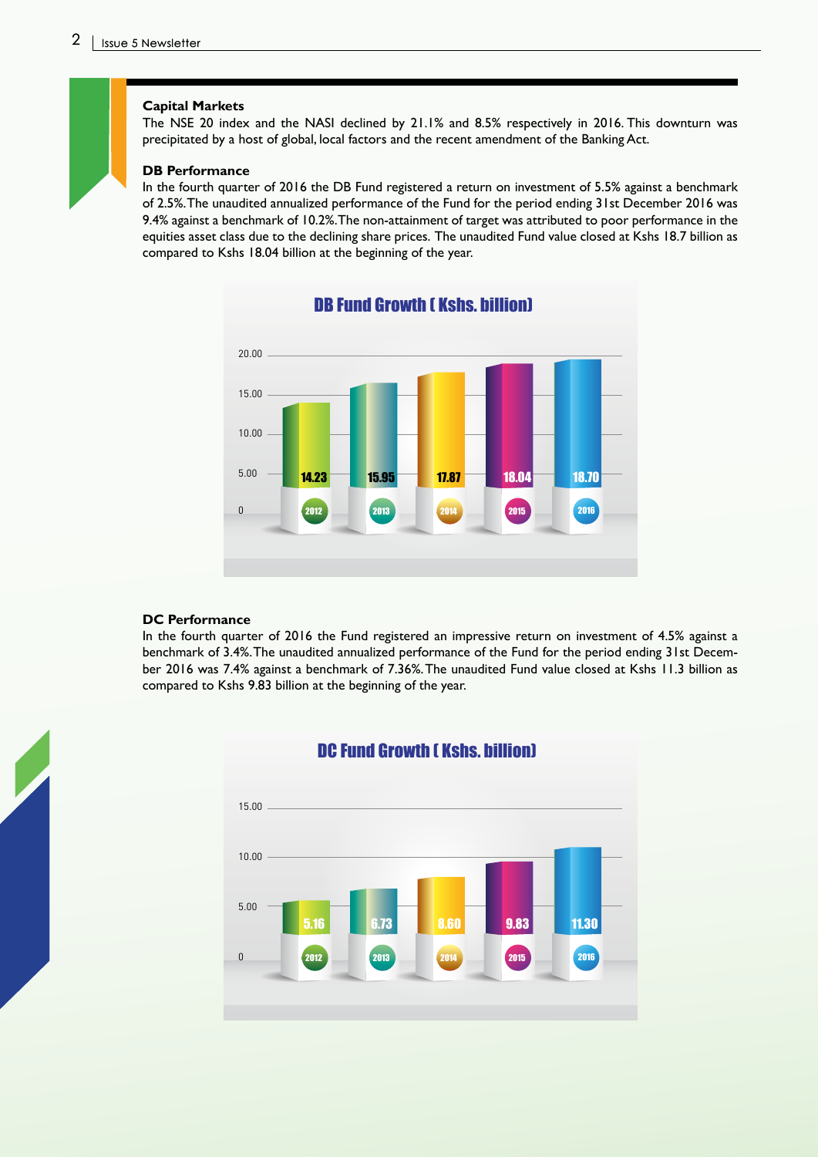#### **Capital Markets**

The NSE 20 index and the NASI declined by 21.1% and 8.5% respectively in 2016. This downturn was precipitated by a host of global, local factors and the recent amendment of the Banking Act.

#### **DB Performance**

In the fourth quarter of 2016 the DB Fund registered a return on investment of 5.5% against a benchmark of 2.5%. The unaudited annualized performance of the Fund for the period ending 31st December 2016 was 9.4% against a benchmark of 10.2%. The non-attainment of target was attributed to poor performance in the equities asset class due to the declining share prices. The unaudited Fund value closed at Kshs 18.7 billion as compared to Kshs 18.04 billion at the beginning of the year.



## DB Fund Growth ( Kshs. billion)

#### **DC Performance**

In the fourth quarter of 2016 the Fund registered an impressive return on investment of 4.5% against a benchmark of 3.4%. The unaudited annualized performance of the Fund for the period ending 31st December 2016 was 7.4% against a benchmark of 7.36%. The unaudited Fund value closed at Kshs 11.3 billion as compared to Kshs 9.83 billion at the beginning of the year.



## DC Fund Growth ( Kshs. billion)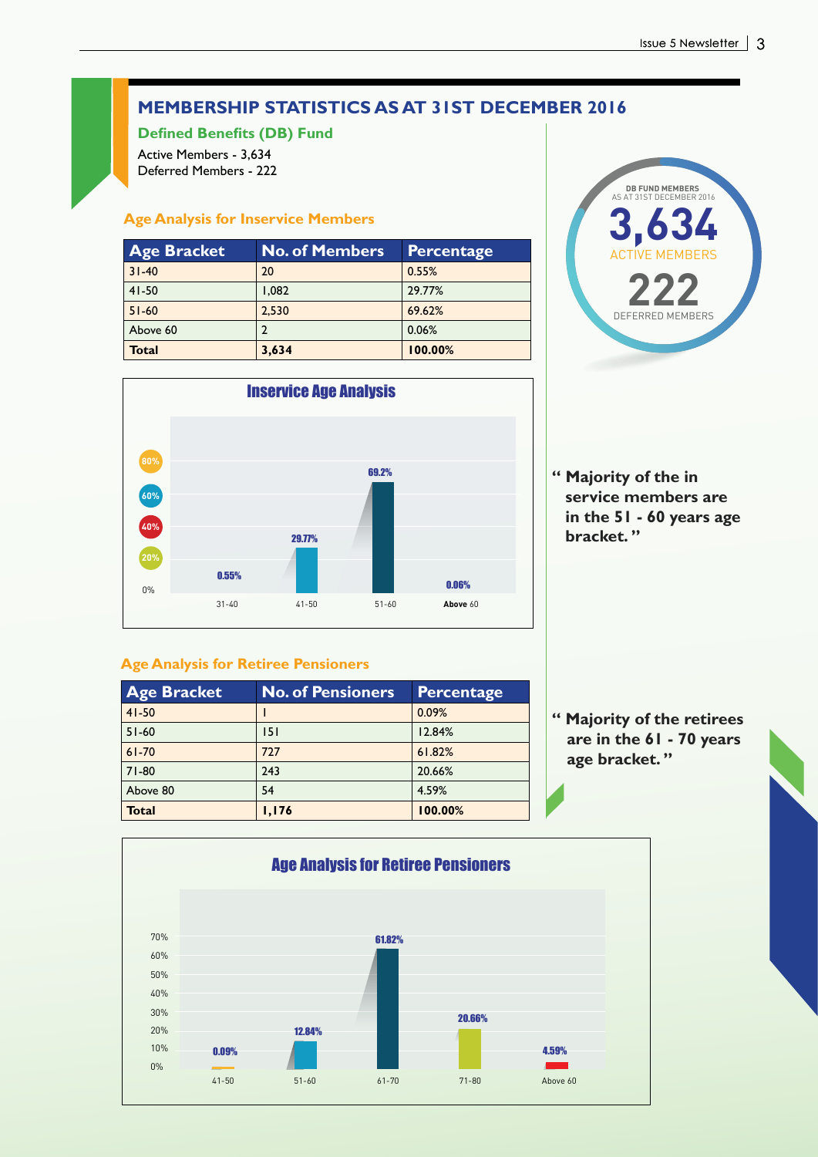# **MEMBERSHIP STATISTICS AS AT 31ST DECEMBER 2016**

**Defined Benefits (DB) Fund**

Active Members - 3,634 Deferred Members - 222

## **Age Analysis for Inservice Members**

| <b>Age Bracket</b> | <b>No. of Members</b> | <b>Percentage</b> |
|--------------------|-----------------------|-------------------|
| $31 - 40$          | 20                    | 0.55%             |
| $41 - 50$          | 1.082                 | 29.77%            |
| $51 - 60$          | 2,530                 | 69.62%            |
| Above 60           | 2                     | 0.06%             |
| <b>Total</b>       | 3,634                 | 100.00%           |





**" Majority of the in service members are in the 51 - 60 years age bracket. "**

## **Age Analysis for Retiree Pensioners**

| <b>Age Bracket</b> | <b>No. of Pensioners</b> | <b>Percentage</b> |
|--------------------|--------------------------|-------------------|
| $41 - 50$          |                          | 0.09%             |
| $51 - 60$          | 151                      | 12.84%            |
| $61 - 70$          | 727                      | 61.82%            |
| $71 - 80$          | 243                      | 20.66%            |
| Above 80           | 54                       | 4.59%             |
| <b>Total</b>       | 1,176                    | 100.00%           |

**" Majority of the retirees are in the 61 - 70 years age bracket. "**

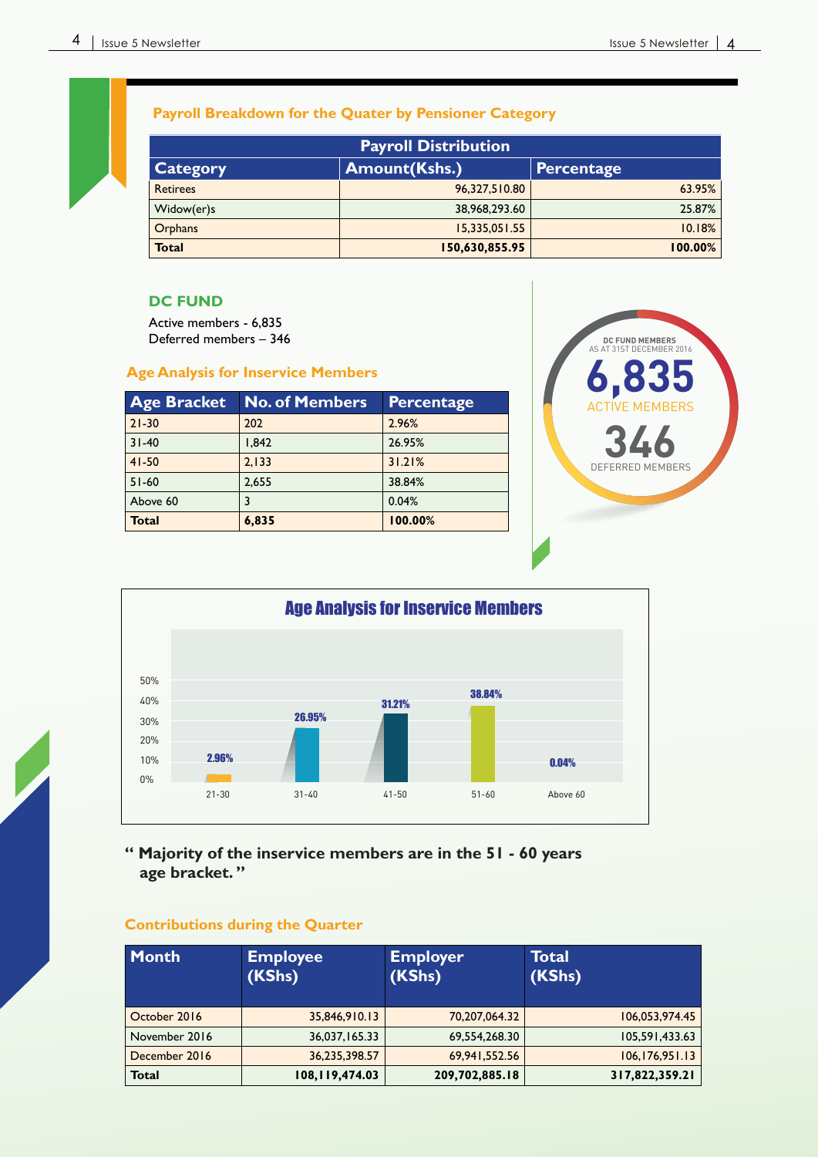## **Payroll Breakdown for the Quater by Pensioner Category**

| <b>Payroll Distribution</b> |                                           |         |  |
|-----------------------------|-------------------------------------------|---------|--|
| Category                    | <b>Amount(Kshs.)</b><br><b>Percentage</b> |         |  |
| <b>Retirees</b>             | 96,327,510.80                             | 63.95%  |  |
| Widow(er)s                  | 38,968,293.60                             | 25.87%  |  |
| <b>Orphans</b>              | 15,335,051.55                             | 10.18%  |  |
| <b>Total</b>                | 150,630,855.95                            | 100.00% |  |

## **DC FUND**

Active members - 6,835 Deferred members – 346

# **Age Analysis for Inservice Members 6,835**

| <b>Age Bracket</b> | <b>No. of Members</b> | Percentage |
|--------------------|-----------------------|------------|
| $21 - 30$          | 202                   | 2.96%      |
| $31 - 40$          | 1.842                 | 26.95%     |
| $41 - 50$          | 2.133                 | 31.21%     |
| $51 - 60$          | 2.655                 | 38.84%     |
| Above 60           | 3                     | 0.04%      |
| <b>Total</b>       | 6,835                 | 100.00%    |





## **" Majority of the inservice members are in the 51 - 60 years age bracket. "**

## **Contributions during the Quarter**

| Month         | <b>Employee</b><br>(KShs) | <b>Employer</b><br>(KShs) | Total<br>(KShs)  |
|---------------|---------------------------|---------------------------|------------------|
| October 2016  | 35,846,910.13             | 70,207,064.32             | 106,053,974.45   |
| November 2016 | 36,037,165.33             | 69,554,268.30             | 105,591,433.63   |
| December 2016 | 36,235,398.57             | 69,941,552.56             | 106, 176, 951.13 |
| <b>Total</b>  | 108,119,474.03            | 209,702,885.18            | 317,822,359.21   |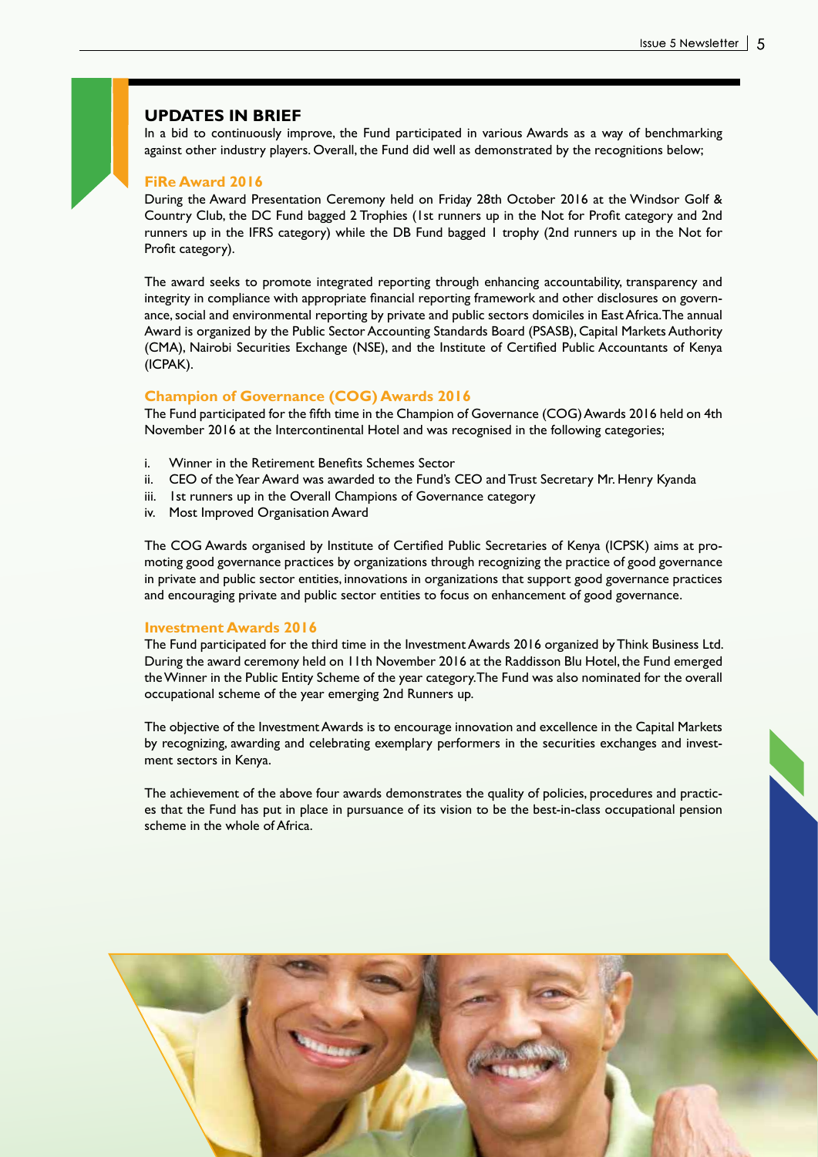### **UPDATES IN BRIEF**

In a bid to continuously improve, the Fund participated in various Awards as a way of benchmarking against other industry players. Overall, the Fund did well as demonstrated by the recognitions below;

#### **FiRe Award 2016**

During the Award Presentation Ceremony held on Friday 28th October 2016 at the Windsor Golf & Country Club, the DC Fund bagged 2 Trophies (1st runners up in the Not for Profit category and 2nd runners up in the IFRS category) while the DB Fund bagged 1 trophy (2nd runners up in the Not for Profit category).

The award seeks to promote integrated reporting through enhancing accountability, transparency and integrity in compliance with appropriate financial reporting framework and other disclosures on governance, social and environmental reporting by private and public sectors domiciles in East Africa. The annual Award is organized by the Public Sector Accounting Standards Board (PSASB), Capital Markets Authority (CMA), Nairobi Securities Exchange (NSE), and the Institute of Certified Public Accountants of Kenya (ICPAK).

#### **Champion of Governance (COG) Awards 2016**

The Fund participated for the fifth time in the Champion of Governance (COG) Awards 2016 held on 4th November 2016 at the Intercontinental Hotel and was recognised in the following categories;

- i. Winner in the Retirement Benefits Schemes Sector
- ii. CEO of the Year Award was awarded to the Fund's CEO and Trust Secretary Mr. Henry Kyanda
- iii. Ist runners up in the Overall Champions of Governance category
- iv. Most Improved Organisation Award

The COG Awards organised by Institute of Certified Public Secretaries of Kenya (ICPSK) aims at promoting good governance practices by organizations through recognizing the practice of good governance in private and public sector entities, innovations in organizations that support good governance practices and encouraging private and public sector entities to focus on enhancement of good governance.

#### **Investment Awards 2016**

The Fund participated for the third time in the Investment Awards 2016 organized by Think Business Ltd. During the award ceremony held on 11th November 2016 at the Raddisson Blu Hotel, the Fund emerged the Winner in the Public Entity Scheme of the year category. The Fund was also nominated for the overall occupational scheme of the year emerging 2nd Runners up.

The objective of the Investment Awards is to encourage innovation and excellence in the Capital Markets by recognizing, awarding and celebrating exemplary performers in the securities exchanges and investment sectors in Kenya.

The achievement of the above four awards demonstrates the quality of policies, procedures and practices that the Fund has put in place in pursuance of its vision to be the best-in-class occupational pension scheme in the whole of Africa.

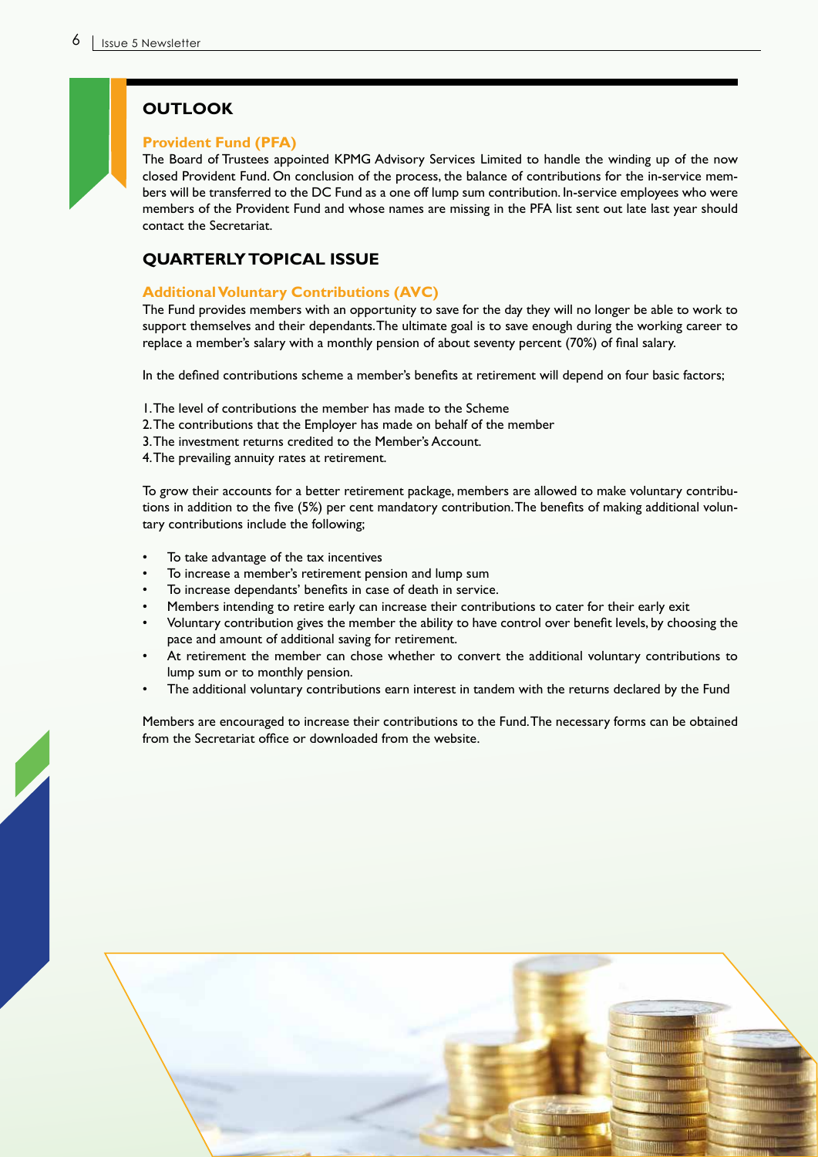## **OUTLOOK**

#### **Provident Fund (PFA)**

The Board of Trustees appointed KPMG Advisory Services Limited to handle the winding up of the now closed Provident Fund. On conclusion of the process, the balance of contributions for the in-service members will be transferred to the DC Fund as a one off lump sum contribution. In-service employees who were members of the Provident Fund and whose names are missing in the PFA list sent out late last year should contact the Secretariat.

## **QUARTERLY TOPICAL ISSUE**

## **Additional Voluntary Contributions (AVC)**

The Fund provides members with an opportunity to save for the day they will no longer be able to work to support themselves and their dependants. The ultimate goal is to save enough during the working career to replace a member's salary with a monthly pension of about seventy percent (70%) of final salary.

In the defined contributions scheme a member's benefits at retirement will depend on four basic factors;

- 1. The level of contributions the member has made to the Scheme
- 2. The contributions that the Employer has made on behalf of the member
- 3. The investment returns credited to the Member's Account.
- 4. The prevailing annuity rates at retirement.

To grow their accounts for a better retirement package, members are allowed to make voluntary contributions in addition to the five (5%) per cent mandatory contribution. The benefits of making additional voluntary contributions include the following;

- To take advantage of the tax incentives
- To increase a member's retirement pension and lump sum
- To increase dependants' benefits in case of death in service.
- Members intending to retire early can increase their contributions to cater for their early exit
- Voluntary contribution gives the member the ability to have control over benefit levels, by choosing the pace and amount of additional saving for retirement.
- At retirement the member can chose whether to convert the additional voluntary contributions to lump sum or to monthly pension.
- The additional voluntary contributions earn interest in tandem with the returns declared by the Fund

Members are encouraged to increase their contributions to the Fund. The necessary forms can be obtained from the Secretariat office or downloaded from the website.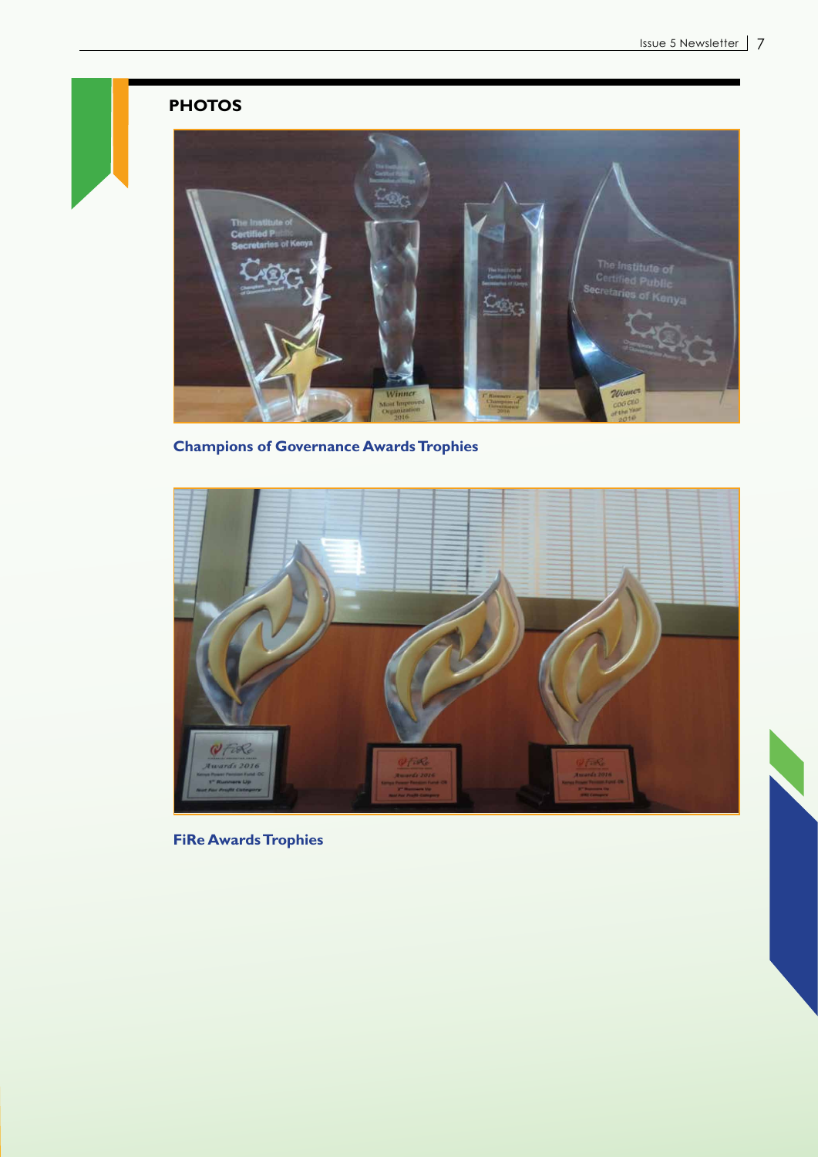# **PHOTOS**



**Champions of Governance Awards Trophies**



**FiRe Awards Trophies**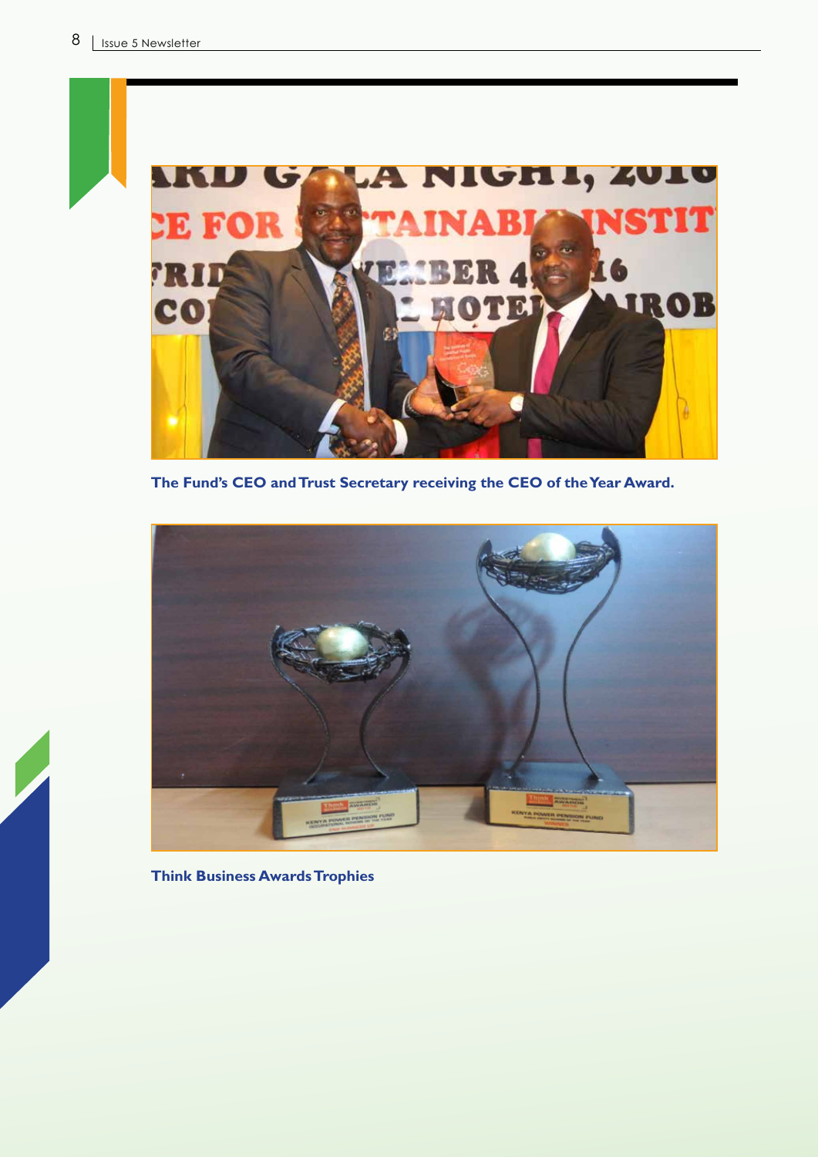

**The Fund's CEO and Trust Secretary receiving the CEO of the Year Award.**



**Think Business Awards Trophies**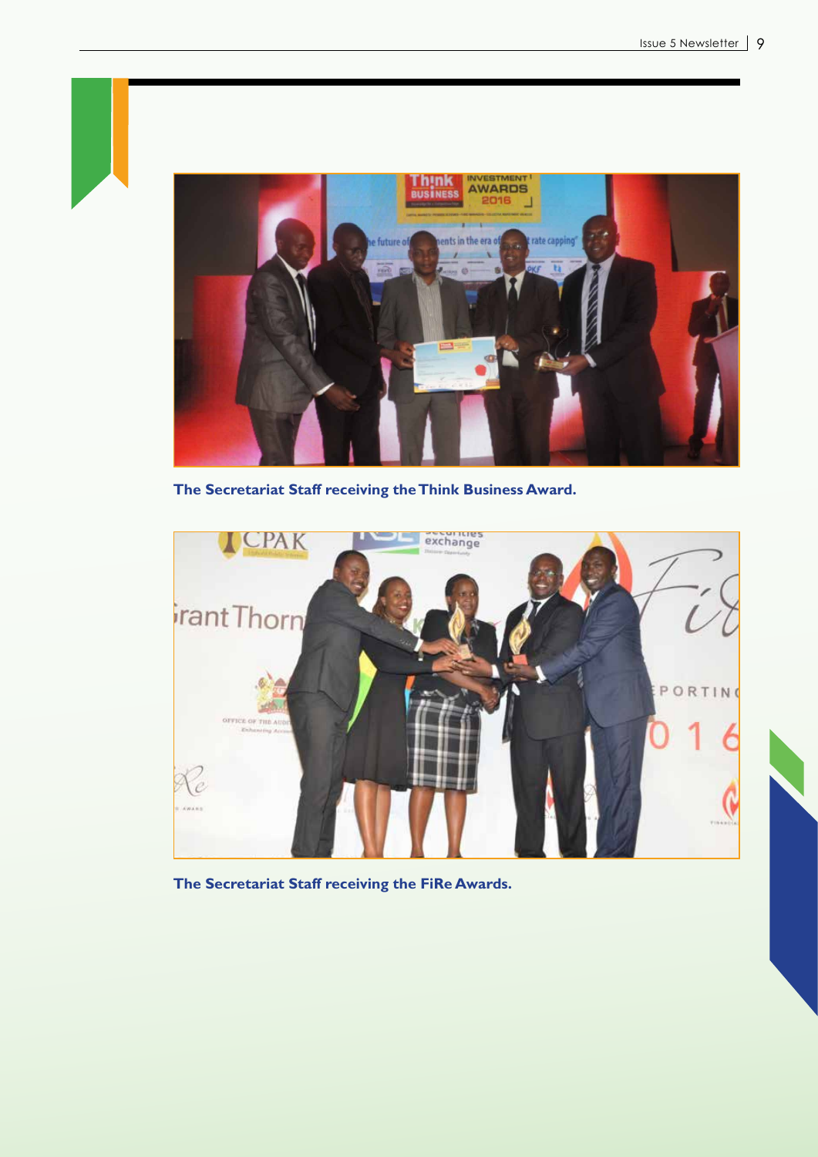

**The Secretariat Staff receiving the Think Business Award.**



**The Secretariat Staff receiving the FiRe Awards.**